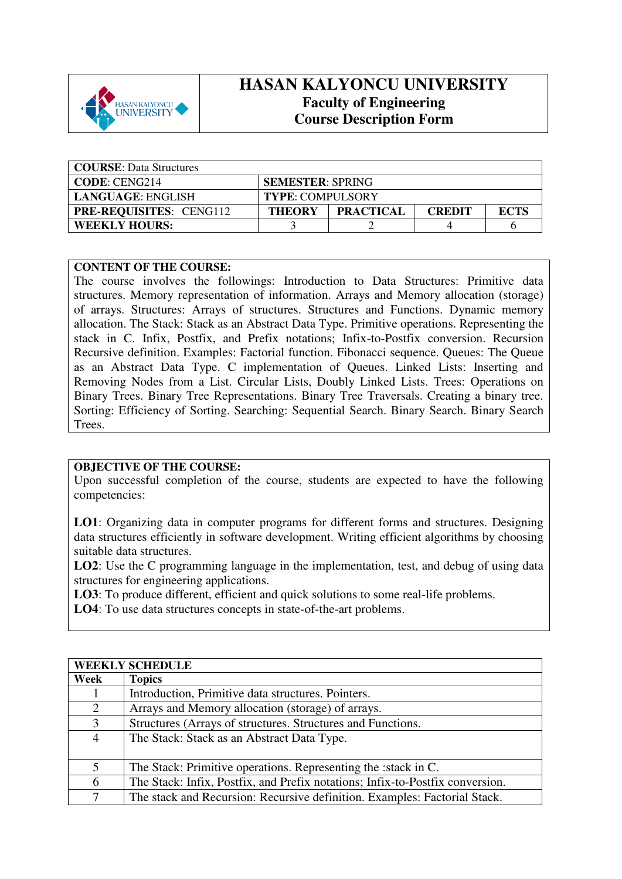

## **HASAN KALYONCU UNIVERSITY Faculty of Engineering Course Description Form**

| <b>COURSE:</b> Data Structures |                         |                  |               |             |
|--------------------------------|-------------------------|------------------|---------------|-------------|
| <b>CODE: CENG214</b>           | <b>SEMESTER: SPRING</b> |                  |               |             |
| LANGUAGE: ENGLISH              | <b>TYPE: COMPULSORY</b> |                  |               |             |
| <b>PRE-REQUISITES: CENG112</b> | <b>THEORY</b>           | <b>PRACTICAL</b> | <b>CREDIT</b> | <b>ECTS</b> |
| <b>WEEKLY HOURS:</b>           |                         |                  |               |             |

## **CONTENT OF THE COURSE:**

The course involves the followings: Introduction to Data Structures: Primitive data structures. Memory representation of information. Arrays and Memory allocation (storage) of arrays. Structures: Arrays of structures. Structures and Functions. Dynamic memory allocation. The Stack: Stack as an Abstract Data Type. Primitive operations. Representing the stack in C. Infix, Postfix, and Prefix notations; Infix-to-Postfix conversion. Recursion Recursive definition. Examples: Factorial function. Fibonacci sequence. Queues: The Queue as an Abstract Data Type. C implementation of Queues. Linked Lists: Inserting and Removing Nodes from a List. Circular Lists, Doubly Linked Lists. Trees: Operations on Binary Trees. Binary Tree Representations. Binary Tree Traversals. Creating a binary tree. Sorting: Efficiency of Sorting. Searching: Sequential Search. Binary Search. Binary Search Trees.

## **OBJECTIVE OF THE COURSE:**

Upon successful completion of the course, students are expected to have the following competencies:

**LO1**: Organizing data in computer programs for different forms and structures. Designing data structures efficiently in software development. Writing efficient algorithms by choosing suitable data structures.

**LO2**: Use the C programming language in the implementation, test, and debug of using data structures for engineering applications.

**LO3**: To produce different, efficient and quick solutions to some real-life problems.

**LO4**: To use data structures concepts in state-of-the-art problems.

| <b>WEEKLY SCHEDULE</b> |                                                                               |  |
|------------------------|-------------------------------------------------------------------------------|--|
| Week                   | <b>Topics</b>                                                                 |  |
|                        | Introduction, Primitive data structures. Pointers.                            |  |
| 2                      | Arrays and Memory allocation (storage) of arrays.                             |  |
| 3                      | Structures (Arrays of structures. Structures and Functions.                   |  |
| 4                      | The Stack: Stack as an Abstract Data Type.                                    |  |
|                        |                                                                               |  |
| 5                      | The Stack: Primitive operations. Representing the : stack in C.               |  |
| 6                      | The Stack: Infix, Postfix, and Prefix notations; Infix-to-Postfix conversion. |  |
| 7                      | The stack and Recursion: Recursive definition. Examples: Factorial Stack.     |  |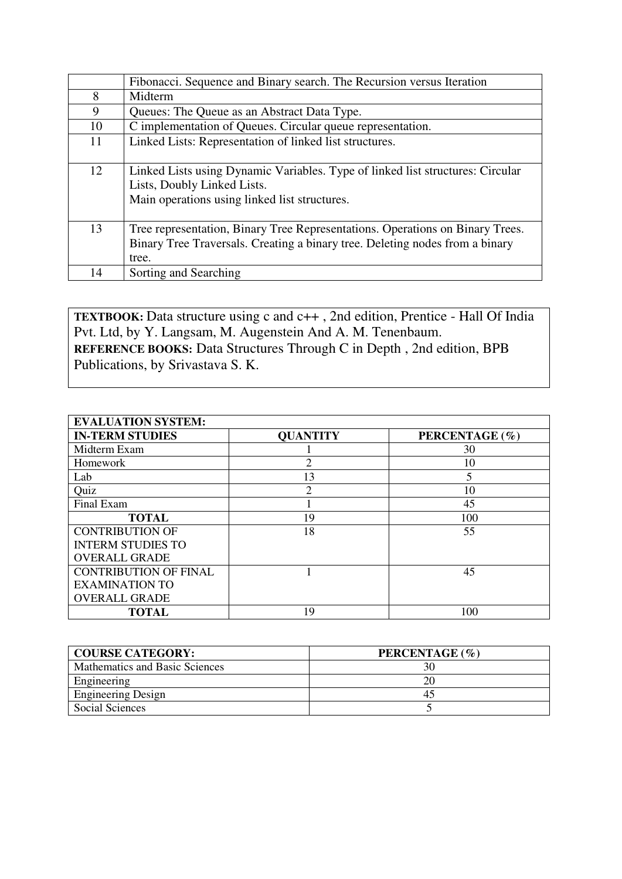|    | Fibonacci. Sequence and Binary search. The Recursion versus Iteration          |
|----|--------------------------------------------------------------------------------|
| 8  | Midterm                                                                        |
| 9  | Queues: The Queue as an Abstract Data Type.                                    |
| 10 | C implementation of Queues. Circular queue representation.                     |
| 11 | Linked Lists: Representation of linked list structures.                        |
|    |                                                                                |
| 12 | Linked Lists using Dynamic Variables. Type of linked list structures: Circular |
|    | Lists, Doubly Linked Lists.                                                    |
|    | Main operations using linked list structures.                                  |
|    |                                                                                |
| 13 | Tree representation, Binary Tree Representations. Operations on Binary Trees.  |
|    | Binary Tree Traversals. Creating a binary tree. Deleting nodes from a binary   |
|    | tree.                                                                          |
| 14 | Sorting and Searching                                                          |

**TEXTBOOK:** Data structure using c and c++ , 2nd edition, Prentice - Hall Of India Pvt. Ltd, by Y. Langsam, M. Augenstein And A. M. Tenenbaum. **REFERENCE BOOKS:** Data Structures Through C in Depth , 2nd edition, BPB Publications, by Srivastava S. K.

| <b>EVALUATION SYSTEM:</b>    |                 |                |  |  |  |
|------------------------------|-----------------|----------------|--|--|--|
| <b>IN-TERM STUDIES</b>       | <b>QUANTITY</b> | PERCENTAGE (%) |  |  |  |
| Midterm Exam                 |                 | 30             |  |  |  |
| Homework                     | っ               | 10             |  |  |  |
| Lab                          | 13              | 5              |  |  |  |
| Quiz                         | $\overline{c}$  | 10             |  |  |  |
| Final Exam                   |                 | 45             |  |  |  |
| <b>TOTAL</b>                 | 19              | 100            |  |  |  |
| <b>CONTRIBUTION OF</b>       | 18              | 55             |  |  |  |
| <b>INTERM STUDIES TO</b>     |                 |                |  |  |  |
| <b>OVERALL GRADE</b>         |                 |                |  |  |  |
| <b>CONTRIBUTION OF FINAL</b> |                 | 45             |  |  |  |
| <b>EXAMINATION TO</b>        |                 |                |  |  |  |
| <b>OVERALL GRADE</b>         |                 |                |  |  |  |
| <b>TOTAL</b>                 | 19              | 100            |  |  |  |

| <b>COURSE CATEGORY:</b>        | PERCENTAGE (%) |
|--------------------------------|----------------|
| Mathematics and Basic Sciences |                |
| Engineering                    | 20             |
| <b>Engineering Design</b>      | 43             |
| Social Sciences                |                |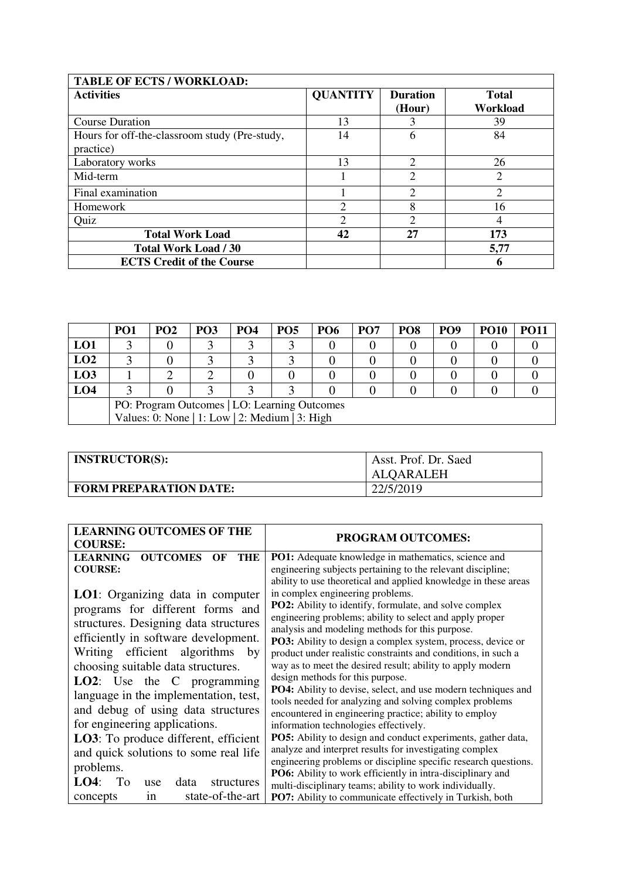| <b>TABLE OF ECTS / WORKLOAD:</b>                           |                 |                           |                          |
|------------------------------------------------------------|-----------------|---------------------------|--------------------------|
| <b>Activities</b>                                          | <b>QUANTITY</b> | <b>Duration</b><br>(Hour) | <b>Total</b><br>Workload |
| <b>Course Duration</b>                                     | 13              |                           | 39                       |
| Hours for off-the-classroom study (Pre-study,<br>practice) | 14              | 6                         | 84                       |
| Laboratory works                                           | 13              | 2                         | 26                       |
| Mid-term                                                   |                 | $\overline{2}$            | $\overline{2}$           |
| Final examination                                          |                 | $\mathfrak{D}$            | 2                        |
| Homework                                                   | $\overline{c}$  | 8                         | 16                       |
| Quiz                                                       | $\mathcal{D}$   | $\mathcal{D}$             | 4                        |
| <b>Total Work Load</b>                                     | 42              | 27                        | 173                      |
| <b>Total Work Load / 30</b>                                |                 |                           | 5,77                     |
| <b>ECTS Credit of the Course</b>                           |                 |                           | 6                        |

|                                              | PO <sub>1</sub>                                | <b>PO2</b> | PO <sub>3</sub> | PO <sub>4</sub> | <b>PO5</b> | <b>PO6</b> | PO <sub>7</sub> | PO <sub>8</sub> | PO <sub>9</sub> | <b>PO10</b> | PO11 |
|----------------------------------------------|------------------------------------------------|------------|-----------------|-----------------|------------|------------|-----------------|-----------------|-----------------|-------------|------|
| LO1                                          |                                                |            |                 |                 |            |            |                 |                 |                 |             |      |
| LO2                                          |                                                |            |                 |                 |            |            |                 |                 |                 |             |      |
| LO <sub>3</sub>                              |                                                |            |                 |                 |            |            |                 |                 |                 |             |      |
| LO <sub>4</sub>                              |                                                |            |                 |                 |            |            |                 |                 |                 |             |      |
| PO: Program Outcomes   LO: Learning Outcomes |                                                |            |                 |                 |            |            |                 |                 |                 |             |      |
|                                              | Values: 0: None   1: Low   2: Medium   3: High |            |                 |                 |            |            |                 |                 |                 |             |      |

| <b>INSTRUCTOR(S):</b>         | Asst. Prof. Dr. Saed<br><b>ALOARALEH</b> |
|-------------------------------|------------------------------------------|
| <b>FORM PREPARATION DATE:</b> | 22/5/2019                                |

| <b>LEARNING OUTCOMES OF THE</b>                                                                                                                                                                                                                                                                                                                                                                                                                                                  | <b>PROGRAM OUTCOMES:</b>                                                                                                                                                                                                                                                                                                                                                                                                                                                                                                                                                                                                                                                                                                                                                                                                   |  |
|----------------------------------------------------------------------------------------------------------------------------------------------------------------------------------------------------------------------------------------------------------------------------------------------------------------------------------------------------------------------------------------------------------------------------------------------------------------------------------|----------------------------------------------------------------------------------------------------------------------------------------------------------------------------------------------------------------------------------------------------------------------------------------------------------------------------------------------------------------------------------------------------------------------------------------------------------------------------------------------------------------------------------------------------------------------------------------------------------------------------------------------------------------------------------------------------------------------------------------------------------------------------------------------------------------------------|--|
| <b>COURSE:</b>                                                                                                                                                                                                                                                                                                                                                                                                                                                                   |                                                                                                                                                                                                                                                                                                                                                                                                                                                                                                                                                                                                                                                                                                                                                                                                                            |  |
| <b>LEARNING</b><br><b>OUTCOMES</b><br>THE<br>OF<br><b>COURSE:</b>                                                                                                                                                                                                                                                                                                                                                                                                                | <b>PO1:</b> Adequate knowledge in mathematics, science and<br>engineering subjects pertaining to the relevant discipline;<br>ability to use theoretical and applied knowledge in these areas                                                                                                                                                                                                                                                                                                                                                                                                                                                                                                                                                                                                                               |  |
| <b>LO1</b> : Organizing data in computer<br>programs for different forms and<br>structures. Designing data structures<br>efficiently in software development.<br>Writing efficient algorithms<br>by<br>choosing suitable data structures.<br>LO2: Use the C programming<br>language in the implementation, test,<br>and debug of using data structures<br>for engineering applications.<br><b>LO3</b> : To produce different, efficient<br>and quick solutions to some real life | in complex engineering problems.<br><b>PO2:</b> Ability to identify, formulate, and solve complex<br>engineering problems; ability to select and apply proper<br>analysis and modeling methods for this purpose.<br><b>PO3:</b> Ability to design a complex system, process, device or<br>product under realistic constraints and conditions, in such a<br>way as to meet the desired result; ability to apply modern<br>design methods for this purpose.<br>PO4: Ability to devise, select, and use modern techniques and<br>tools needed for analyzing and solving complex problems<br>encountered in engineering practice; ability to employ<br>information technologies effectively.<br><b>PO5:</b> Ability to design and conduct experiments, gather data,<br>analyze and interpret results for investigating complex |  |
| problems.<br>LO4:<br>To<br>data<br>structures<br>use<br>state-of-the-art<br>concepts<br>in                                                                                                                                                                                                                                                                                                                                                                                       | engineering problems or discipline specific research questions.<br><b>PO6:</b> Ability to work efficiently in intra-disciplinary and<br>multi-disciplinary teams; ability to work individually.<br><b>PO7:</b> Ability to communicate effectively in Turkish, both                                                                                                                                                                                                                                                                                                                                                                                                                                                                                                                                                         |  |